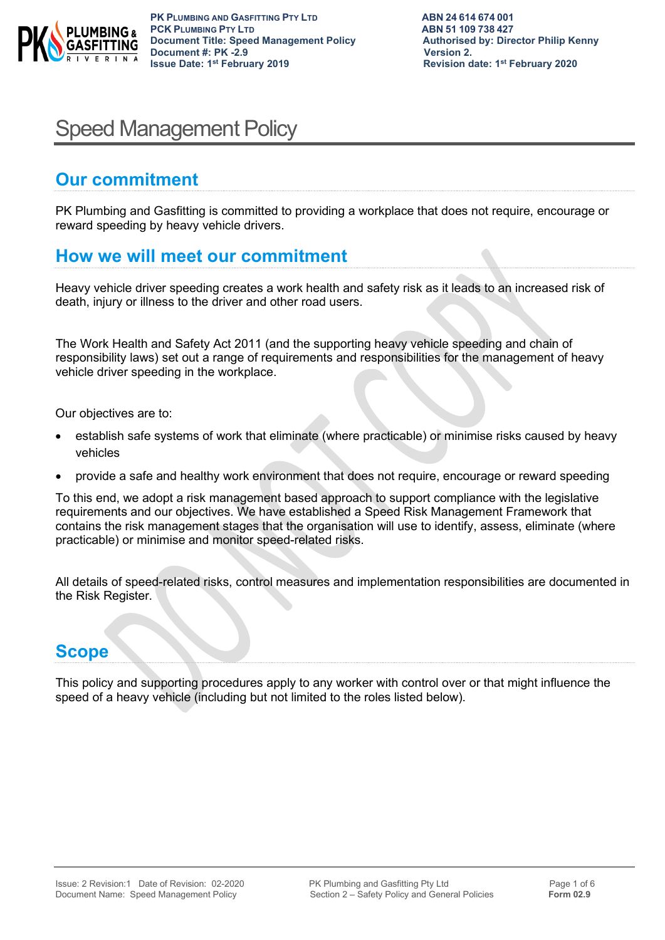

# Speed Management Policy

# **Our commitment**

PK Plumbing and Gasfitting is committed to providing a workplace that does not require, encourage or reward speeding by heavy vehicle drivers.

## **How we will meet our commitment**

Heavy vehicle driver speeding creates a work health and safety risk as it leads to an increased risk of death, injury or illness to the driver and other road users.

The Work Health and Safety Act 2011 (and the supporting heavy vehicle speeding and chain of responsibility laws) set out a range of requirements and responsibilities for the management of heavy vehicle driver speeding in the workplace.

Our objectives are to:

- establish safe systems of work that eliminate (where practicable) or minimise risks caused by heavy vehicles
- provide a safe and healthy work environment that does not require, encourage or reward speeding

To this end, we adopt a risk management based approach to support compliance with the legislative requirements and our objectives. We have established a Speed Risk Management Framework that contains the risk management stages that the organisation will use to identify, assess, eliminate (where practicable) or minimise and monitor speed-related risks.

All details of speed-related risks, control measures and implementation responsibilities are documented in the Risk Register.

# **Scope**

This policy and supporting procedures apply to any worker with control over or that might influence the speed of a heavy vehicle (including but not limited to the roles listed below).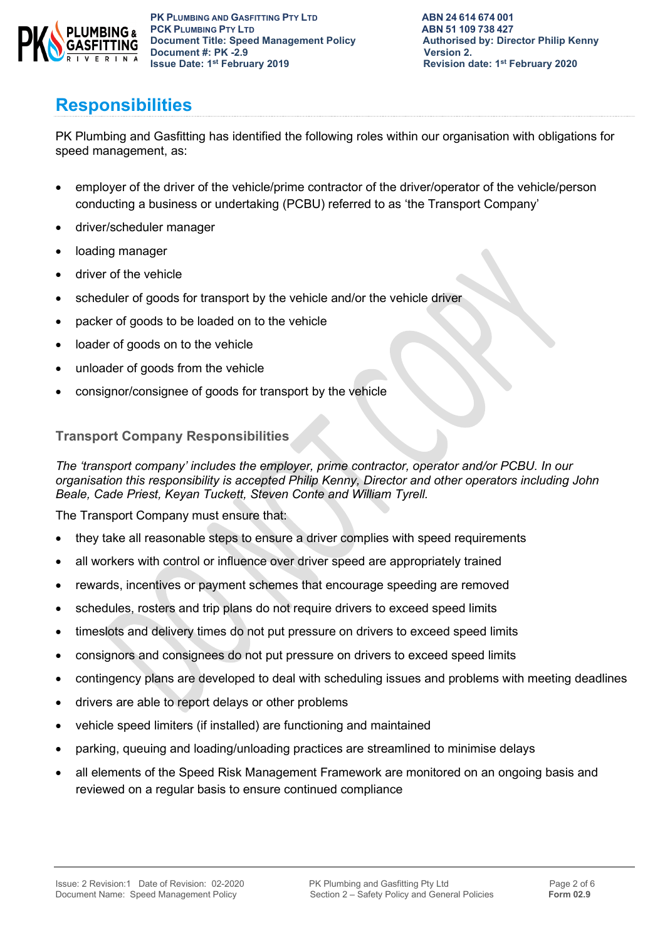

# **Responsibilities**

PK Plumbing and Gasfitting has identified the following roles within our organisation with obligations for speed management, as:

- employer of the driver of the vehicle/prime contractor of the driver/operator of the vehicle/person conducting a business or undertaking (PCBU) referred to as 'the Transport Company'
- driver/scheduler manager
- loading manager
- driver of the vehicle
- scheduler of goods for transport by the vehicle and/or the vehicle driver
- packer of goods to be loaded on to the vehicle
- loader of goods on to the vehicle
- unloader of goods from the vehicle
- consignor/consignee of goods for transport by the vehicle

### **Transport Company Responsibilities**

*The 'transport company' includes the employer, prime contractor, operator and/or PCBU. In our organisation this responsibility is accepted Philip Kenny, Director and other operators including John Beale, Cade Priest, Keyan Tuckett, Steven Conte and William Tyrell.*

The Transport Company must ensure that:

- they take all reasonable steps to ensure a driver complies with speed requirements
- all workers with control or influence over driver speed are appropriately trained
- rewards, incentives or payment schemes that encourage speeding are removed
- schedules, rosters and trip plans do not require drivers to exceed speed limits
- timeslots and delivery times do not put pressure on drivers to exceed speed limits
- consignors and consignees do not put pressure on drivers to exceed speed limits
- contingency plans are developed to deal with scheduling issues and problems with meeting deadlines
- drivers are able to report delays or other problems
- vehicle speed limiters (if installed) are functioning and maintained
- parking, queuing and loading/unloading practices are streamlined to minimise delays
- all elements of the Speed Risk Management Framework are monitored on an ongoing basis and reviewed on a regular basis to ensure continued compliance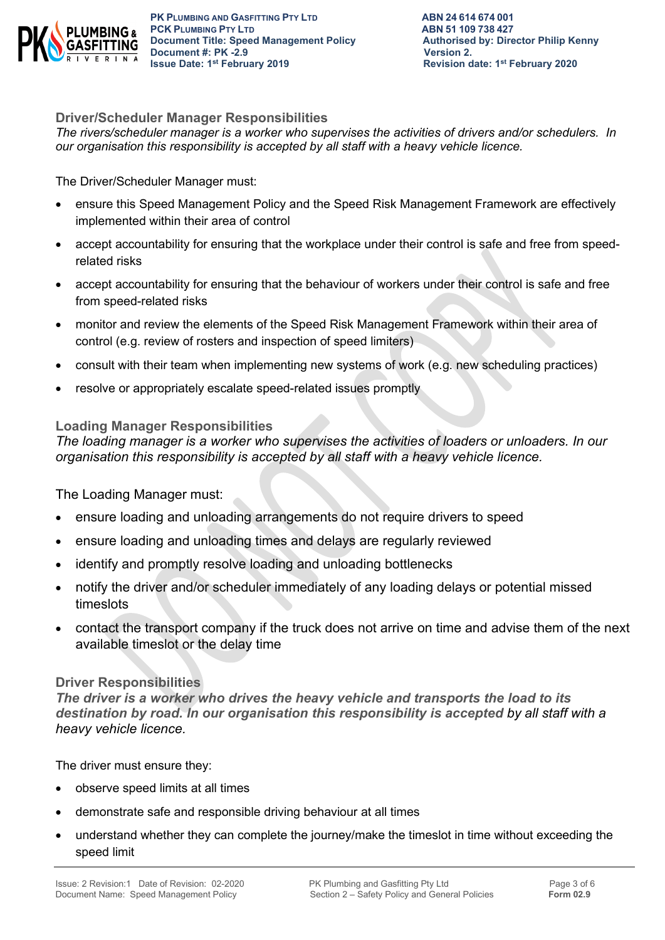

**PK PLUMBING AND GASFITTING PTY LTD ABN 24 614 674 001 PCK PLUMBING PTY LTD**<br> **PCK PLUMBING PTY LTD**<br> **Document Title: Speed Management Policy Authorised by: Director Philip Kenny Document Title: Speed Management Policy Document #: PK -2.9 CONSERVING SERVING VERSION 2.**<br> **Property** 1ssue Date: 1<sup>st</sup> February 2019

**Driver/Scheduler Manager Responsibilities**

*The rivers/scheduler manager is a worker who supervises the activities of drivers and/or schedulers. In our organisation this responsibility is accepted by all staff with a heavy vehicle licence.*

The Driver/Scheduler Manager must:

- ensure this Speed Management Policy and the Speed Risk Management Framework are effectively implemented within their area of control
- accept accountability for ensuring that the workplace under their control is safe and free from speedrelated risks
- accept accountability for ensuring that the behaviour of workers under their control is safe and free from speed-related risks
- monitor and review the elements of the Speed Risk Management Framework within their area of control (e.g. review of rosters and inspection of speed limiters)
- consult with their team when implementing new systems of work (e.g. new scheduling practices)
- resolve or appropriately escalate speed-related issues promptly

### **Loading Manager Responsibilities**

*The loading manager is a worker who supervises the activities of loaders or unloaders. In our organisation this responsibility is accepted by all staff with a heavy vehicle licence.*

The Loading Manager must:

- ensure loading and unloading arrangements do not require drivers to speed
- ensure loading and unloading times and delays are regularly reviewed
- identify and promptly resolve loading and unloading bottlenecks
- notify the driver and/or scheduler immediately of any loading delays or potential missed timeslots
- contact the transport company if the truck does not arrive on time and advise them of the next available timeslot or the delay time

### **Driver Responsibilities**

*The driver is a worker who drives the heavy vehicle and transports the load to its destination by road. In our organisation this responsibility is accepted by all staff with a heavy vehicle licence.*

The driver must ensure they:

- observe speed limits at all times
- demonstrate safe and responsible driving behaviour at all times
- understand whether they can complete the journey/make the timeslot in time without exceeding the speed limit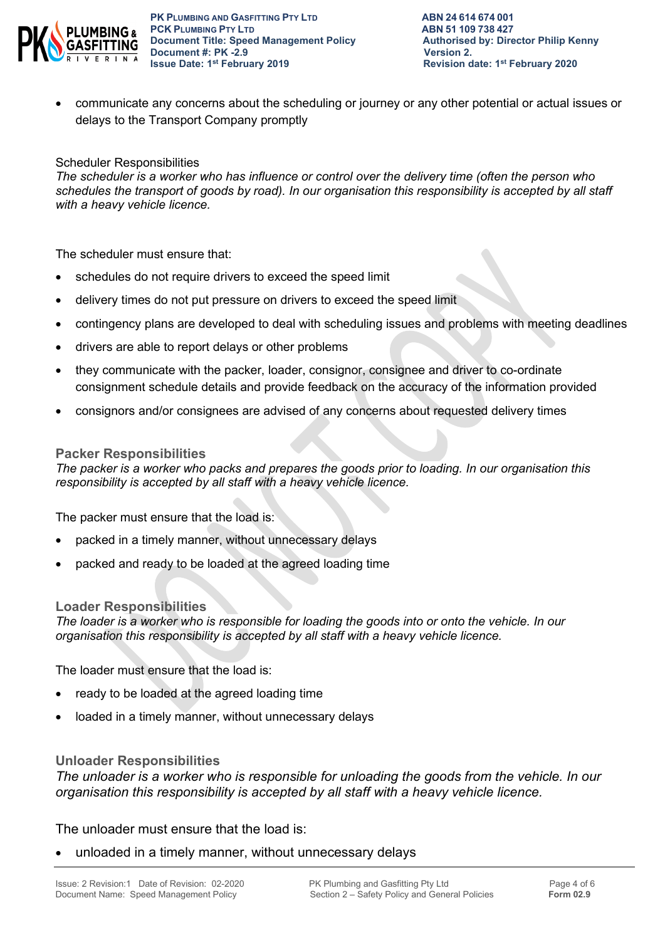

**PK PLUMBING AND GASFITTING PTY LTD ABN 24 614 674 001 PCK PLUMBING PTY LTD**<br> **PCK PLUMBING PTY LTD**<br> **Document Title: Speed Management Policy Authorised by: Director Philip Kenny Document Title: Speed Management Policy Document #: PK -2.9 CONSERVING SERVING VERSION 2.**<br> **Property** 1ssue Date: 1<sup>st</sup> February 2019

• communicate any concerns about the scheduling or journey or any other potential or actual issues or delays to the Transport Company promptly

#### Scheduler Responsibilities

*The scheduler is a worker who has influence or control over the delivery time (often the person who schedules the transport of goods by road). In our organisation this responsibility is accepted by all staff with a heavy vehicle licence.*

The scheduler must ensure that:

- schedules do not require drivers to exceed the speed limit
- delivery times do not put pressure on drivers to exceed the speed limit
- contingency plans are developed to deal with scheduling issues and problems with meeting deadlines
- drivers are able to report delays or other problems
- they communicate with the packer, loader, consignor, consignee and driver to co-ordinate consignment schedule details and provide feedback on the accuracy of the information provided
- consignors and/or consignees are advised of any concerns about requested delivery times

#### **Packer Responsibilities**

*The packer is a worker who packs and prepares the goods prior to loading. In our organisation this responsibility is accepted by all staff with a heavy vehicle licence.*

The packer must ensure that the load is:

- packed in a timely manner, without unnecessary delays
- packed and ready to be loaded at the agreed loading time

#### **Loader Responsibilities**

*The loader is a worker who is responsible for loading the goods into or onto the vehicle. In our organisation this responsibility is accepted by all staff with a heavy vehicle licence.*

The loader must ensure that the load is:

- ready to be loaded at the agreed loading time
- loaded in a timely manner, without unnecessary delays

#### **Unloader Responsibilities**

*The unloader is a worker who is responsible for unloading the goods from the vehicle. In our organisation this responsibility is accepted by all staff with a heavy vehicle licence.*

The unloader must ensure that the load is:

• unloaded in a timely manner, without unnecessary delays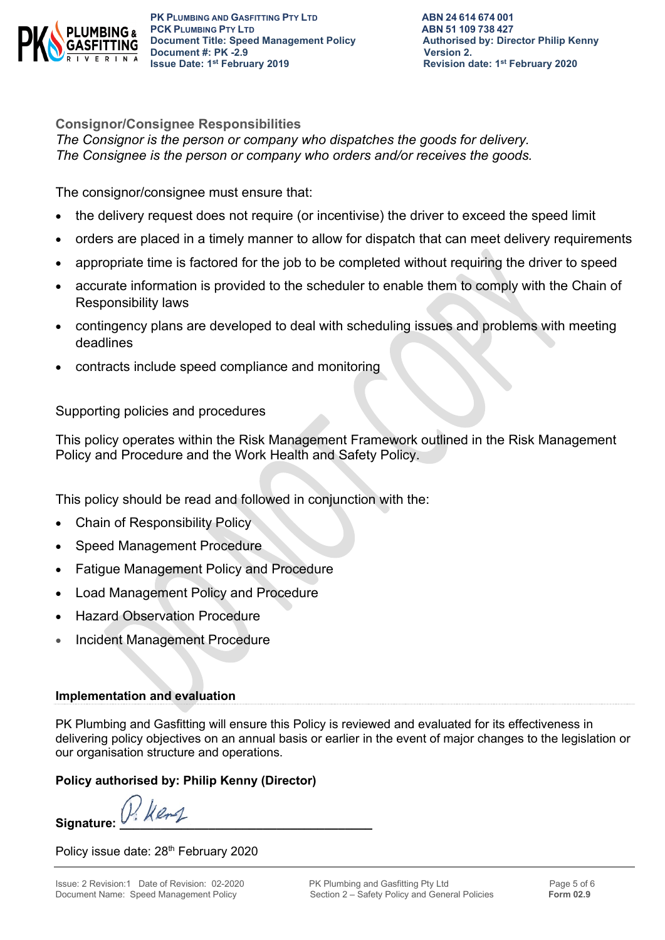

**PK PLUMBING AND GASFITTING PTY LTD ABN 24 614 674 001 PCK PLUMBING PTY LTD**<br> **PCK PLUMBING PTY LTD**<br> **Document Title: Speed Management Policy Authorised by: Director Philip Kenny Document Title: Speed Management Policy Document #: PK -2.9 CONSERVING SERVING VERSION 2.**<br> **Property** 1ssue Date: 1<sup>st</sup> February 2019

**Revision date: 1st February 2020** 

**Consignor/Consignee Responsibilities**  *The Consignor is the person or company who dispatches the goods for delivery. The Consignee is the person or company who orders and/or receives the goods.* 

The consignor/consignee must ensure that:

- the delivery request does not require (or incentivise) the driver to exceed the speed limit
- orders are placed in a timely manner to allow for dispatch that can meet delivery requirements
- appropriate time is factored for the job to be completed without requiring the driver to speed
- accurate information is provided to the scheduler to enable them to comply with the Chain of Responsibility laws
- contingency plans are developed to deal with scheduling issues and problems with meeting deadlines
- contracts include speed compliance and monitoring

Supporting policies and procedures

This policy operates within the Risk Management Framework outlined in the Risk Management Policy and Procedure and the Work Health and Safety Policy.

This policy should be read and followed in conjunction with the:

- Chain of Responsibility Policy
- Speed Management Procedure
- Fatigue Management Policy and Procedure
- Load Management Policy and Procedure
- Hazard Observation Procedure
- Incident Management Procedure

### **Implementation and evaluation**

PK Plumbing and Gasfitting will ensure this Policy is reviewed and evaluated for its effectiveness in delivering policy objectives on an annual basis or earlier in the event of major changes to the legislation or our organisation structure and operations.

### **Policy authorised by: Philip Kenny (Director)**

Signature:  $V: \text{Ker}\mathcal{L}$ 

Policy issue date: 28<sup>th</sup> February 2020